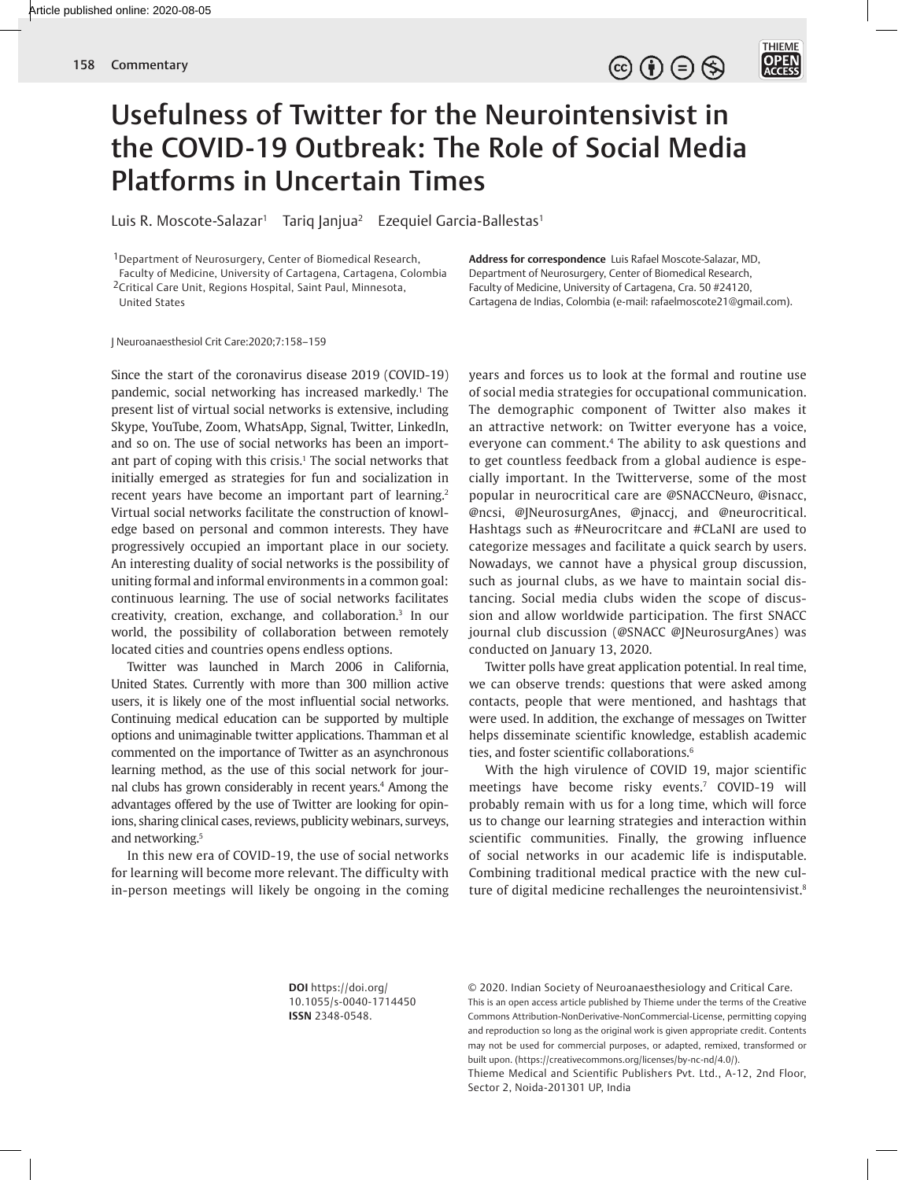

## Usefulness of Twitter for the Neurointensivist in the COVID-19 Outbreak: The Role of Social Media Platforms in Uncertain Times

Luis R. Moscote-Salazar<sup>1</sup> Tariq Janjua<sup>2</sup> Ezequiel Garcia-Ballestas<sup>1</sup>

1Department of Neurosurgery, Center of Biomedical Research, Faculty of Medicine, University of Cartagena, Cartagena, Colombia 2Critical Care Unit, Regions Hospital, Saint Paul, Minnesota,

United States

**Address for correspondence** Luis Rafael Moscote-Salazar, MD, Department of Neurosurgery, Center of Biomedical Research, Faculty of Medicine, University of Cartagena, Cra. 50 #24120, Cartagena de Indias, Colombia (e-mail: rafaelmoscote21@gmail.com).

J Neuroanaesthesiol Crit Care:2020;7:158–159

Since the start of the coronavirus disease 2019 (COVID-19) pandemic, social networking has increased markedly.1 The present list of virtual social networks is extensive, including Skype, YouTube, Zoom, WhatsApp, Signal, Twitter, LinkedIn, and so on. The use of social networks has been an important part of coping with this crisis.<sup>1</sup> The social networks that initially emerged as strategies for fun and socialization in recent years have become an important part of learning.<sup>2</sup> Virtual social networks facilitate the construction of knowledge based on personal and common interests. They have progressively occupied an important place in our society. An interesting duality of social networks is the possibility of uniting formal and informal environments in a common goal: continuous learning. The use of social networks facilitates creativity, creation, exchange, and collaboration.3 In our world, the possibility of collaboration between remotely located cities and countries opens endless options.

Twitter was launched in March 2006 in California, United States. Currently with more than 300 million active users, it is likely one of the most influential social networks. Continuing medical education can be supported by multiple options and unimaginable twitter applications. Thamman et al commented on the importance of Twitter as an asynchronous learning method, as the use of this social network for journal clubs has grown considerably in recent years.4 Among the advantages offered by the use of Twitter are looking for opinions, sharing clinical cases, reviews, publicity webinars, surveys, and networking.<sup>5</sup>

In this new era of COVID-19, the use of social networks for learning will become more relevant. The difficulty with in-person meetings will likely be ongoing in the coming years and forces us to look at the formal and routine use of social media strategies for occupational communication. The demographic component of Twitter also makes it an attractive network: on Twitter everyone has a voice, everyone can comment.4 The ability to ask questions and to get countless feedback from a global audience is especially important. In the Twitterverse, some of the most popular in neurocritical care are @SNACCNeuro, @isnacc, @ncsi, @JNeurosurgAnes, @jnaccj, and @neurocritical. Hashtags such as #Neurocritcare and #CLaNI are used to categorize messages and facilitate a quick search by users. Nowadays, we cannot have a physical group discussion, such as journal clubs, as we have to maintain social distancing. Social media clubs widen the scope of discussion and allow worldwide participation. The first SNACC journal club discussion (@SNACC @JNeurosurgAnes) was conducted on January 13, 2020.

Twitter polls have great application potential. In real time, we can observe trends: questions that were asked among contacts, people that were mentioned, and hashtags that were used. In addition, the exchange of messages on Twitter helps disseminate scientific knowledge, establish academic ties, and foster scientific collaborations.6

With the high virulence of COVID 19, major scientific meetings have become risky events.7 COVID-19 will probably remain with us for a long time, which will force us to change our learning strategies and interaction within scientific communities. Finally, the growing influence of social networks in our academic life is indisputable. Combining traditional medical practice with the new culture of digital medicine rechallenges the neurointensivist.<sup>8</sup>

**DOI** https://doi.org/ 10.1055/s-0040-1714450 **ISSN** 2348-0548.

© 2020. Indian Society of Neuroanaesthesiology and Critical Care. This is an open access article published by Thieme under the terms of the Creative Commons Attribution-NonDerivative-NonCommercial-License, permitting copying and reproduction so long as the original work is given appropriate credit. Contents may not be used for commercial purposes, or adapted, remixed, transformed or built upon. (https://creativecommons.org/licenses/by-nc-nd/4.0/).

Thieme Medical and Scientific Publishers Pvt. Ltd., A-12, 2nd Floor, Sector 2, Noida-201301 UP, India